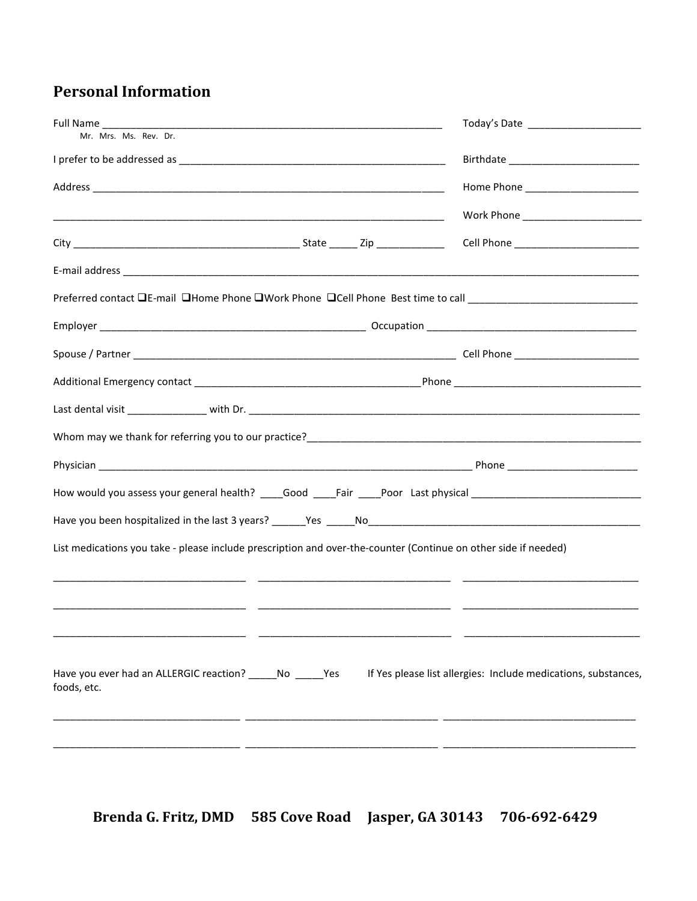## **Personal Information**

| Full Name                                                                                                                                                              |                                                                |
|------------------------------------------------------------------------------------------------------------------------------------------------------------------------|----------------------------------------------------------------|
| Mr. Mrs. Ms. Rev. Dr.                                                                                                                                                  |                                                                |
|                                                                                                                                                                        |                                                                |
|                                                                                                                                                                        |                                                                |
|                                                                                                                                                                        |                                                                |
|                                                                                                                                                                        |                                                                |
|                                                                                                                                                                        |                                                                |
| Preferred contact □E-mail □Home Phone □Work Phone □Cell Phone Best time to call _______________________________                                                        |                                                                |
|                                                                                                                                                                        |                                                                |
|                                                                                                                                                                        |                                                                |
|                                                                                                                                                                        |                                                                |
|                                                                                                                                                                        |                                                                |
| Whom may we thank for referring you to our practice?<br>Universely and the content of the content of the content of the content of the content of the content of the c |                                                                |
|                                                                                                                                                                        |                                                                |
| How would you assess your general health? _____Good _____Fair _____Poor Last physical ______________________________                                                   |                                                                |
|                                                                                                                                                                        |                                                                |
| List medications you take - please include prescription and over-the-counter (Continue on other side if needed)                                                        |                                                                |
|                                                                                                                                                                        |                                                                |
| Have you ever had an ALLERGIC reaction? ______ No ______ Yes<br>foods, etc.                                                                                            | If Yes please list allergies: Include medications, substances, |
|                                                                                                                                                                        |                                                                |

Brenda G. Fritz, DMD 585 Cove Road Jasper, GA 30143 706-692-6429